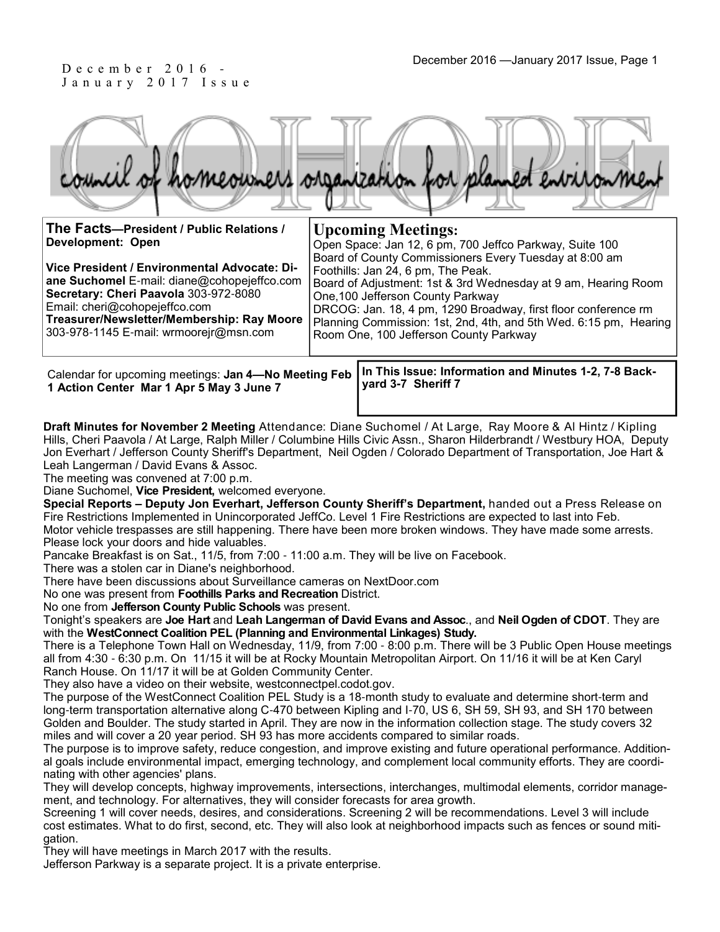## J a n u a r y 2 0 1 7 I s s u e

| The Facts-President / Public Relations /<br>Development: Open<br>Vice President / Environmental Advocate: Di-<br>ane Suchomel E-mail: diane@cohopejeffco.com<br>Secretary: Cheri Paavola 303-972-8080<br>Email: cheri@cohopejeffco.com<br>Treasurer/Newsletter/Membership: Ray Moore<br>303-978-1145 E-mail: wrmoorejr@msn.com | <b>Upcoming Meetings:</b><br>Open Space: Jan 12, 6 pm, 700 Jeffco Parkway, Suite 100<br>Board of County Commissioners Every Tuesday at 8:00 am<br>Foothills: Jan 24, 6 pm, The Peak.<br>Board of Adjustment: 1st & 3rd Wednesday at 9 am, Hearing Room<br>One, 100 Jefferson County Parkway<br>DRCOG: Jan. 18, 4 pm, 1290 Broadway, first floor conference rm<br>Planning Commission: 1st, 2nd, 4th, and 5th Wed. 6:15 pm, Hearing |  |
|--------------------------------------------------------------------------------------------------------------------------------------------------------------------------------------------------------------------------------------------------------------------------------------------------------------------------------|------------------------------------------------------------------------------------------------------------------------------------------------------------------------------------------------------------------------------------------------------------------------------------------------------------------------------------------------------------------------------------------------------------------------------------|--|
|                                                                                                                                                                                                                                                                                                                                | Room One, 100 Jefferson County Parkway                                                                                                                                                                                                                                                                                                                                                                                             |  |
|                                                                                                                                                                                                                                                                                                                                |                                                                                                                                                                                                                                                                                                                                                                                                                                    |  |

**1 Action Center Mar 1 Apr 5 May 3 June 7**

**In This Issue: Information and Minutes 1-2, 7-8 Back-**Calendar for upcoming meetings: **Jan 4—No Meeting Feb yard 3-7 Sheriff 7** 

**Draft Minutes for November 2 Meeting** Attendance: Diane Suchomel / At Large, Ray Moore & Al Hintz / Kipling Hills, Cheri Paavola / At Large, Ralph Miller / Columbine Hills Civic Assn., Sharon Hilderbrandt / Westbury HOA, Deputy Jon Everhart / Jefferson County Sheriff's Department, Neil Ogden / Colorado Department of Transportation, Joe Hart & Leah Langerman / David Evans & Assoc.

The meeting was convened at 7:00 p.m.

Diane Suchomel, **Vice President,** welcomed everyone.

**Special Reports – Deputy Jon Everhart, Jefferson County Sheriff's Department,** handed out a Press Release on Fire Restrictions Implemented in Unincorporated JeffCo. Level 1 Fire Restrictions are expected to last into Feb. Motor vehicle trespasses are still happening. There have been more broken windows. They have made some arrests. Please lock your doors and hide valuables.

Pancake Breakfast is on Sat., 11/5, from 7:00 - 11:00 a.m. They will be live on Facebook.

There was a stolen car in Diane's neighborhood.

There have been discussions about Surveillance cameras on NextDoor.com

No one was present from **Foothills Parks and Recreation** District.

No one from **Jefferson County Public Schools** was present.

Tonight's speakers are **Joe Hart** and **Leah Langerman of David Evans and Assoc**., and **Neil Ogden of CDOT**. They are with the **WestConnect Coalition PEL (Planning and Environmental Linkages) Study.**

There is a Telephone Town Hall on Wednesday, 11/9, from 7:00 - 8:00 p.m. There will be 3 Public Open House meetings all from 4:30 - 6:30 p.m. On 11/15 it will be at Rocky Mountain Metropolitan Airport. On 11/16 it will be at Ken Caryl Ranch House. On 11/17 it will be at Golden Community Center.

They also have a video on their website, westconnectpel.codot.gov.

The purpose of the WestConnect Coalition PEL Study is a 18-month study to evaluate and determine short-term and long-term transportation alternative along C-470 between Kipling and I-70, US 6, SH 59, SH 93, and SH 170 between Golden and Boulder. The study started in April. They are now in the information collection stage. The study covers 32 miles and will cover a 20 year period. SH 93 has more accidents compared to similar roads.

The purpose is to improve safety, reduce congestion, and improve existing and future operational performance. Additional goals include environmental impact, emerging technology, and complement local community efforts. They are coordinating with other agencies' plans.

They will develop concepts, highway improvements, intersections, interchanges, multimodal elements, corridor management, and technology. For alternatives, they will consider forecasts for area growth.

Screening 1 will cover needs, desires, and considerations. Screening 2 will be recommendations. Level 3 will include cost estimates. What to do first, second, etc. They will also look at neighborhood impacts such as fences or sound mitigation.

They will have meetings in March 2017 with the results.

Jefferson Parkway is a separate project. It is a private enterprise.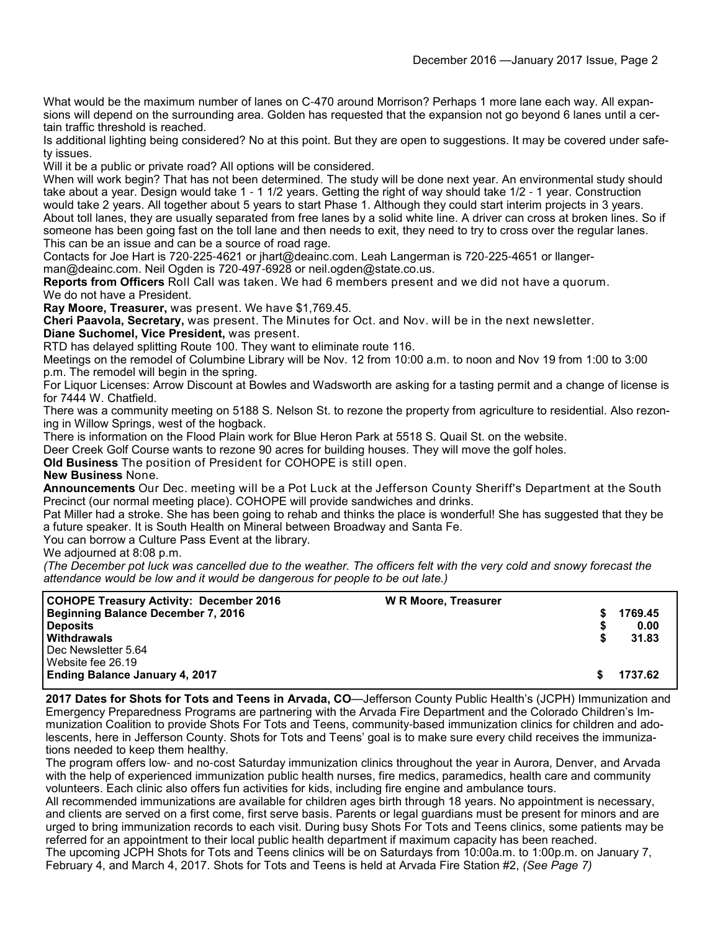What would be the maximum number of lanes on C-470 around Morrison? Perhaps 1 more lane each way. All expansions will depend on the surrounding area. Golden has requested that the expansion not go beyond 6 lanes until a certain traffic threshold is reached.

Is additional lighting being considered? No at this point. But they are open to suggestions. It may be covered under safety issues.

Will it be a public or private road? All options will be considered.

When will work begin? That has not been determined. The study will be done next year. An environmental study should take about a year. Design would take 1 - 1 1/2 years. Getting the right of way should take 1/2 - 1 year. Construction would take 2 years. All together about 5 years to start Phase 1. Although they could start interim projects in 3 years. About toll lanes, they are usually separated from free lanes by a solid white line. A driver can cross at broken lines. So if someone has been going fast on the toll lane and then needs to exit, they need to try to cross over the regular lanes. This can be an issue and can be a source of road rage.

Contacts for Joe Hart is 720-225-4621 or jhart@deainc.com. Leah Langerman is 720-225-4651 or llanger-

man@deainc.com. Neil Ogden is 720-497-6928 or neil.ogden@state.co.us.

**Reports from Officers** Roll Call was taken. We had 6 members present and we did not have a quorum. We do not have a President.

**Ray Moore, Treasurer,** was present. We have \$1,769.45.

**Cheri Paavola, Secretary,** was present. The Minutes for Oct. and Nov. will be in the next newsletter.

**Diane Suchomel, Vice President,** was present.

RTD has delayed splitting Route 100. They want to eliminate route 116.

Meetings on the remodel of Columbine Library will be Nov. 12 from 10:00 a.m. to noon and Nov 19 from 1:00 to 3:00 p.m. The remodel will begin in the spring.

For Liquor Licenses: Arrow Discount at Bowles and Wadsworth are asking for a tasting permit and a change of license is for 7444 W. Chatfield.

There was a community meeting on 5188 S. Nelson St. to rezone the property from agriculture to residential. Also rezoning in Willow Springs, west of the hogback.

There is information on the Flood Plain work for Blue Heron Park at 5518 S. Quail St. on the website.

Deer Creek Golf Course wants to rezone 90 acres for building houses. They will move the golf holes.

**Old Business** The position of President for COHOPE is still open.

**New Business** None.

**Announcements** Our Dec. meeting will be a Pot Luck at the Jefferson County Sheriff's Department at the South Precinct (our normal meeting place). COHOPE will provide sandwiches and drinks.

Pat Miller had a stroke. She has been going to rehab and thinks the place is wonderful! She has suggested that they be a future speaker. It is South Health on Mineral between Broadway and Santa Fe.

You can borrow a Culture Pass Event at the library.

We adjourned at 8:08 p.m.

*(The December pot luck was cancelled due to the weather. The officers felt with the very cold and snowy forecast the attendance would be low and it would be dangerous for people to be out late.)*

| <b>COHOPE Treasury Activity: December 2016</b> | <b>W R Moore, Treasurer</b> |         |
|------------------------------------------------|-----------------------------|---------|
| <b>Beginning Balance December 7, 2016</b>      |                             | 1769.45 |
| <b>Deposits</b>                                |                             | 0.00    |
| Withdrawals                                    |                             | 31.83   |
| Dec Newsletter 5.64                            |                             |         |
| Website fee 26.19                              |                             |         |
| <b>Ending Balance January 4, 2017</b>          |                             | 1737.62 |

**2017 Dates for Shots for Tots and Teens in Arvada, CO**—Jefferson County Public Health's (JCPH) Immunization and Emergency Preparedness Programs are partnering with the Arvada Fire Department and the Colorado Children's Immunization Coalition to provide Shots For Tots and Teens, community-based immunization clinics for children and adolescents, here in Jefferson County. Shots for Tots and Teens' goal is to make sure every child receives the immunizations needed to keep them healthy.

The program offers low- and no-cost Saturday immunization clinics throughout the year in Aurora, Denver, and Arvada with the help of experienced immunization public health nurses, fire medics, paramedics, health care and community volunteers. Each clinic also offers fun activities for kids, including fire engine and ambulance tours.

All recommended immunizations are available for children ages birth through 18 years. No appointment is necessary, and clients are served on a first come, first serve basis. Parents or legal guardians must be present for minors and are urged to bring immunization records to each visit. During busy Shots For Tots and Teens clinics, some patients may be referred for an appointment to their local public health department if maximum capacity has been reached.

The upcoming JCPH Shots for Tots and Teens clinics will be on Saturdays from 10:00a.m. to 1:00p.m. on January 7, February 4, and March 4, 2017. Shots for Tots and Teens is held at Arvada Fire Station #2, *(See Page 7)*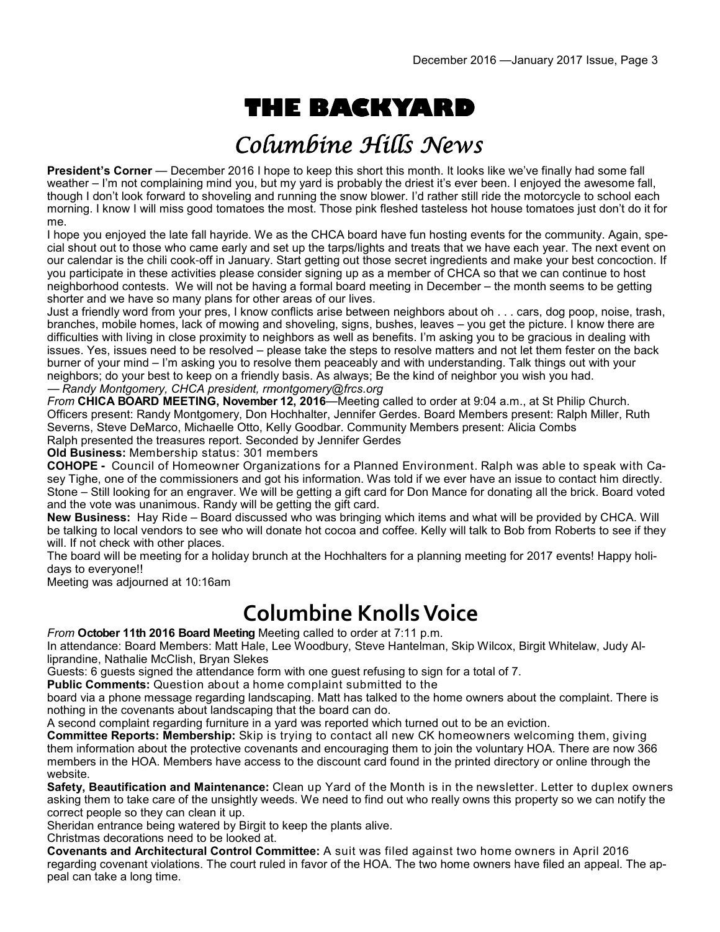# **THE BACKYARD**

## Columbine Hills News

**President's Corner** — December 2016 I hope to keep this short this month. It looks like we've finally had some fall weather – I'm not complaining mind you, but my yard is probably the driest it's ever been. I enjoyed the awesome fall, though I don't look forward to shoveling and running the snow blower. I'd rather still ride the motorcycle to school each morning. I know I will miss good tomatoes the most. Those pink fleshed tasteless hot house tomatoes just don't do it for me.

I hope you enjoyed the late fall hayride. We as the CHCA board have fun hosting events for the community. Again, special shout out to those who came early and set up the tarps/lights and treats that we have each year. The next event on our calendar is the chili cook-off in January. Start getting out those secret ingredients and make your best concoction. If you participate in these activities please consider signing up as a member of CHCA so that we can continue to host neighborhood contests. We will not be having a formal board meeting in December – the month seems to be getting shorter and we have so many plans for other areas of our lives.

Just a friendly word from your pres, I know conflicts arise between neighbors about oh . . . cars, dog poop, noise, trash, branches, mobile homes, lack of mowing and shoveling, signs, bushes, leaves – you get the picture. I know there are difficulties with living in close proximity to neighbors as well as benefits. I'm asking you to be gracious in dealing with issues. Yes, issues need to be resolved – please take the steps to resolve matters and not let them fester on the back burner of your mind – I'm asking you to resolve them peaceably and with understanding. Talk things out with your neighbors; do your best to keep on a friendly basis. As always; Be the kind of neighbor you wish you had. — *Randy Montgomery, CHCA president, rmontgomery@frcs.org*

*From* **CHICA BOARD MEETING, November 12, 2016**—Meeting called to order at 9:04 a.m., at St Philip Church. Officers present: Randy Montgomery, Don Hochhalter, Jennifer Gerdes. Board Members present: Ralph Miller, Ruth Severns, Steve DeMarco, Michaelle Otto, Kelly Goodbar. Community Members present: Alicia Combs Ralph presented the treasures report. Seconded by Jennifer Gerdes

**Old Business:** Membership status: 301 members

**COHOPE -** Council of Homeowner Organizations for a Planned Environment. Ralph was able to speak with Casey Tighe, one of the commissioners and got his information. Was told if we ever have an issue to contact him directly. Stone – Still looking for an engraver. We will be getting a gift card for Don Mance for donating all the brick. Board voted and the vote was unanimous. Randy will be getting the gift card.

**New Business:** Hay Ride – Board discussed who was bringing which items and what will be provided by CHCA. Will be talking to local vendors to see who will donate hot cocoa and coffee. Kelly will talk to Bob from Roberts to see if they will. If not check with other places.

The board will be meeting for a holiday brunch at the Hochhalters for a planning meeting for 2017 events! Happy holidays to everyone!!

Meeting was adjourned at 10:16am

### **Columbine Knolls Voice**

*From* **October 11th 2016 Board Meeting** Meeting called to order at 7:11 p.m.

In attendance: Board Members: Matt Hale, Lee Woodbury, Steve Hantelman, Skip Wilcox, Birgit Whitelaw, Judy Alliprandine, Nathalie McClish, Bryan Slekes

Guests: 6 guests signed the attendance form with one guest refusing to sign for a total of 7.

**Public Comments:** Question about a home complaint submitted to the

board via a phone message regarding landscaping. Matt has talked to the home owners about the complaint. There is nothing in the covenants about landscaping that the board can do.

A second complaint regarding furniture in a yard was reported which turned out to be an eviction.

**Committee Reports: Membership:** Skip is trying to contact all new CK homeowners welcoming them, giving them information about the protective covenants and encouraging them to join the voluntary HOA. There are now 366 members in the HOA. Members have access to the discount card found in the printed directory or online through the website.

**Safety, Beautification and Maintenance:** Clean up Yard of the Month is in the newsletter. Letter to duplex owners asking them to take care of the unsightly weeds. We need to find out who really owns this property so we can notify the correct people so they can clean it up.

Sheridan entrance being watered by Birgit to keep the plants alive.

Christmas decorations need to be looked at.

**Covenants and Architectural Control Committee:** A suit was filed against two home owners in April 2016 regarding covenant violations. The court ruled in favor of the HOA. The two home owners have filed an appeal. The appeal can take a long time.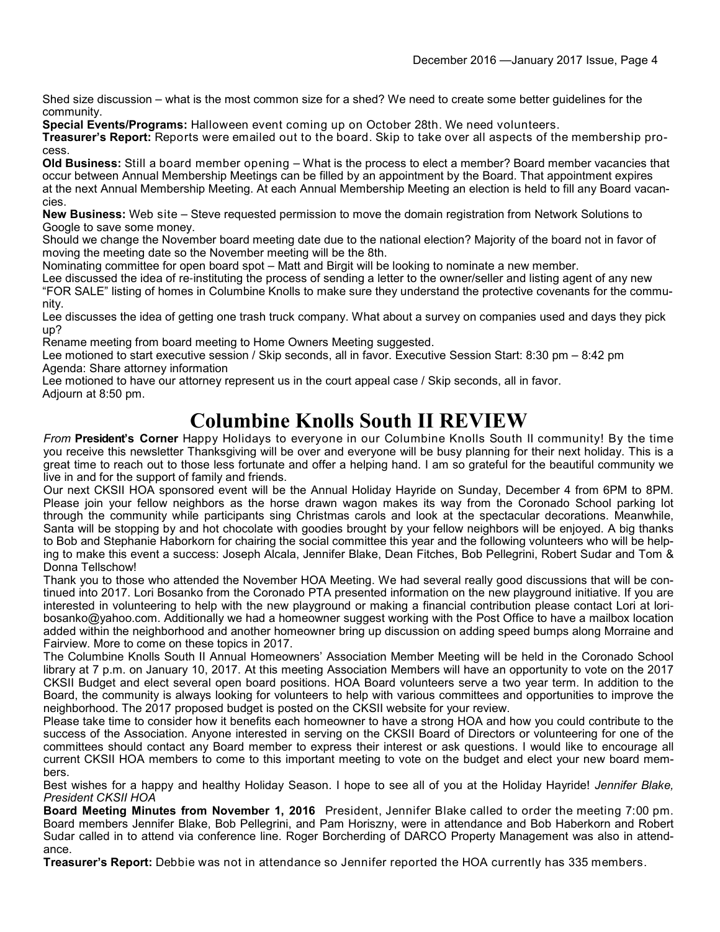Shed size discussion – what is the most common size for a shed? We need to create some better guidelines for the community.

**Special Events/Programs:** Halloween event coming up on October 28th. We need volunteers.

**Treasurer's Report:** Reports were emailed out to the board. Skip to take over all aspects of the membership process.

**Old Business:** Still a board member opening – What is the process to elect a member? Board member vacancies that occur between Annual Membership Meetings can be filled by an appointment by the Board. That appointment expires at the next Annual Membership Meeting. At each Annual Membership Meeting an election is held to fill any Board vacancies.

**New Business:** Web site – Steve requested permission to move the domain registration from Network Solutions to Google to save some money.

Should we change the November board meeting date due to the national election? Majority of the board not in favor of moving the meeting date so the November meeting will be the 8th.

Nominating committee for open board spot – Matt and Birgit will be looking to nominate a new member.

Lee discussed the idea of re-instituting the process of sending a letter to the owner/seller and listing agent of any new "FOR SALE" listing of homes in Columbine Knolls to make sure they understand the protective covenants for the community.

Lee discusses the idea of getting one trash truck company. What about a survey on companies used and days they pick up?

Rename meeting from board meeting to Home Owners Meeting suggested.

Lee motioned to start executive session / Skip seconds, all in favor. Executive Session Start: 8:30 pm – 8:42 pm Agenda: Share attorney information

Lee motioned to have our attorney represent us in the court appeal case / Skip seconds, all in favor. Adjourn at 8:50 pm.

#### **Columbine Knolls South II REVIEW**

*From* **President's Corner** Happy Holidays to everyone in our Columbine Knolls South II community! By the time you receive this newsletter Thanksgiving will be over and everyone will be busy planning for their next holiday. This is a great time to reach out to those less fortunate and offer a helping hand. I am so grateful for the beautiful community we live in and for the support of family and friends.

Our next CKSII HOA sponsored event will be the Annual Holiday Hayride on Sunday, December 4 from 6PM to 8PM. Please join your fellow neighbors as the horse drawn wagon makes its way from the Coronado School parking lot through the community while participants sing Christmas carols and look at the spectacular decorations. Meanwhile, Santa will be stopping by and hot chocolate with goodies brought by your fellow neighbors will be enjoyed. A big thanks to Bob and Stephanie Haborkorn for chairing the social committee this year and the following volunteers who will be helping to make this event a success: Joseph Alcala, Jennifer Blake, Dean Fitches, Bob Pellegrini, Robert Sudar and Tom & Donna Tellschow!

Thank you to those who attended the November HOA Meeting. We had several really good discussions that will be continued into 2017. Lori Bosanko from the Coronado PTA presented information on the new playground initiative. If you are interested in volunteering to help with the new playground or making a financial contribution please contact Lori at loribosanko@yahoo.com. Additionally we had a homeowner suggest working with the Post Office to have a mailbox location added within the neighborhood and another homeowner bring up discussion on adding speed bumps along Morraine and Fairview. More to come on these topics in 2017.

The Columbine Knolls South II Annual Homeowners' Association Member Meeting will be held in the Coronado School library at 7 p.m. on January 10, 2017. At this meeting Association Members will have an opportunity to vote on the 2017 CKSII Budget and elect several open board positions. HOA Board volunteers serve a two year term. In addition to the Board, the community is always looking for volunteers to help with various committees and opportunities to improve the neighborhood. The 2017 proposed budget is posted on the CKSII website for your review.

Please take time to consider how it benefits each homeowner to have a strong HOA and how you could contribute to the success of the Association. Anyone interested in serving on the CKSII Board of Directors or volunteering for one of the committees should contact any Board member to express their interest or ask questions. I would like to encourage all current CKSII HOA members to come to this important meeting to vote on the budget and elect your new board members.

Best wishes for a happy and healthy Holiday Season. I hope to see all of you at the Holiday Hayride! *Jennifer Blake, President CKSII HOA*

**Board Meeting Minutes from November 1, 2016** President, Jennifer Blake called to order the meeting 7:00 pm. Board members Jennifer Blake, Bob Pellegrini, and Pam Horiszny, were in attendance and Bob Haberkorn and Robert Sudar called in to attend via conference line. Roger Borcherding of DARCO Property Management was also in attendance.

**Treasurer's Report:** Debbie was not in attendance so Jennifer reported the HOA currently has 335 members.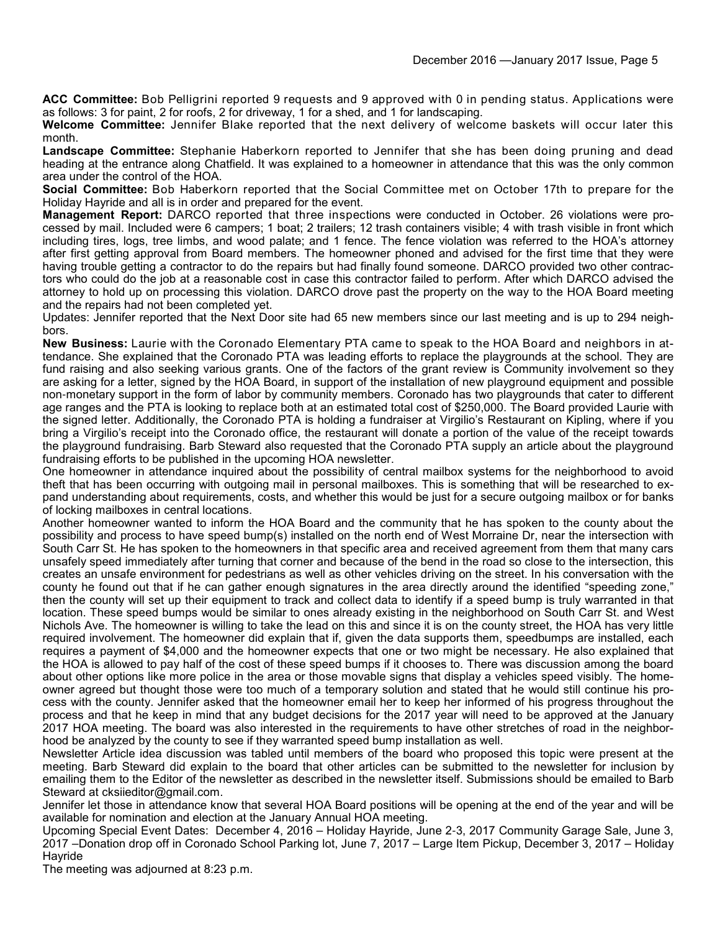**ACC Committee:** Bob Pelligrini reported 9 requests and 9 approved with 0 in pending status. Applications were as follows: 3 for paint, 2 for roofs, 2 for driveway, 1 for a shed, and 1 for landscaping.

**Welcome Committee:** Jennifer Blake reported that the next delivery of welcome baskets will occur later this month.

**Landscape Committee:** Stephanie Haberkorn reported to Jennifer that she has been doing pruning and dead heading at the entrance along Chatfield. It was explained to a homeowner in attendance that this was the only common area under the control of the HOA.

**Social Committee:** Bob Haberkorn reported that the Social Committee met on October 17th to prepare for the Holiday Hayride and all is in order and prepared for the event.

**Management Report:** DARCO reported that three inspections were conducted in October. 26 violations were processed by mail. Included were 6 campers; 1 boat; 2 trailers; 12 trash containers visible; 4 with trash visible in front which including tires, logs, tree limbs, and wood palate; and 1 fence. The fence violation was referred to the HOA's attorney after first getting approval from Board members. The homeowner phoned and advised for the first time that they were having trouble getting a contractor to do the repairs but had finally found someone. DARCO provided two other contractors who could do the job at a reasonable cost in case this contractor failed to perform. After which DARCO advised the attorney to hold up on processing this violation. DARCO drove past the property on the way to the HOA Board meeting and the repairs had not been completed yet.

Updates: Jennifer reported that the Next Door site had 65 new members since our last meeting and is up to 294 neighbors.

**New Business:** Laurie with the Coronado Elementary PTA came to speak to the HOA Board and neighbors in attendance. She explained that the Coronado PTA was leading efforts to replace the playgrounds at the school. They are fund raising and also seeking various grants. One of the factors of the grant review is Community involvement so they are asking for a letter, signed by the HOA Board, in support of the installation of new playground equipment and possible non-monetary support in the form of labor by community members. Coronado has two playgrounds that cater to different age ranges and the PTA is looking to replace both at an estimated total cost of \$250,000. The Board provided Laurie with the signed letter. Additionally, the Coronado PTA is holding a fundraiser at Virgilio's Restaurant on Kipling, where if you bring a Virgilio's receipt into the Coronado office, the restaurant will donate a portion of the value of the receipt towards the playground fundraising. Barb Steward also requested that the Coronado PTA supply an article about the playground fundraising efforts to be published in the upcoming HOA newsletter.

One homeowner in attendance inquired about the possibility of central mailbox systems for the neighborhood to avoid theft that has been occurring with outgoing mail in personal mailboxes. This is something that will be researched to expand understanding about requirements, costs, and whether this would be just for a secure outgoing mailbox or for banks of locking mailboxes in central locations.

Another homeowner wanted to inform the HOA Board and the community that he has spoken to the county about the possibility and process to have speed bump(s) installed on the north end of West Morraine Dr, near the intersection with South Carr St. He has spoken to the homeowners in that specific area and received agreement from them that many cars unsafely speed immediately after turning that corner and because of the bend in the road so close to the intersection, this creates an unsafe environment for pedestrians as well as other vehicles driving on the street. In his conversation with the county he found out that if he can gather enough signatures in the area directly around the identified "speeding zone," then the county will set up their equipment to track and collect data to identify if a speed bump is truly warranted in that location. These speed bumps would be similar to ones already existing in the neighborhood on South Carr St. and West Nichols Ave. The homeowner is willing to take the lead on this and since it is on the county street, the HOA has very little required involvement. The homeowner did explain that if, given the data supports them, speedbumps are installed, each requires a payment of \$4,000 and the homeowner expects that one or two might be necessary. He also explained that the HOA is allowed to pay half of the cost of these speed bumps if it chooses to. There was discussion among the board about other options like more police in the area or those movable signs that display a vehicles speed visibly. The homeowner agreed but thought those were too much of a temporary solution and stated that he would still continue his process with the county. Jennifer asked that the homeowner email her to keep her informed of his progress throughout the process and that he keep in mind that any budget decisions for the 2017 year will need to be approved at the January 2017 HOA meeting. The board was also interested in the requirements to have other stretches of road in the neighborhood be analyzed by the county to see if they warranted speed bump installation as well.

Newsletter Article idea discussion was tabled until members of the board who proposed this topic were present at the meeting. Barb Steward did explain to the board that other articles can be submitted to the newsletter for inclusion by emailing them to the Editor of the newsletter as described in the newsletter itself. Submissions should be emailed to Barb Steward at cksiieditor@gmail.com.

Jennifer let those in attendance know that several HOA Board positions will be opening at the end of the year and will be available for nomination and election at the January Annual HOA meeting.

Upcoming Special Event Dates: December 4, 2016 – Holiday Hayride, June 2-3, 2017 Community Garage Sale, June 3, 2017 –Donation drop off in Coronado School Parking lot, June 7, 2017 – Large Item Pickup, December 3, 2017 – Holiday **Havride** 

The meeting was adjourned at 8:23 p.m.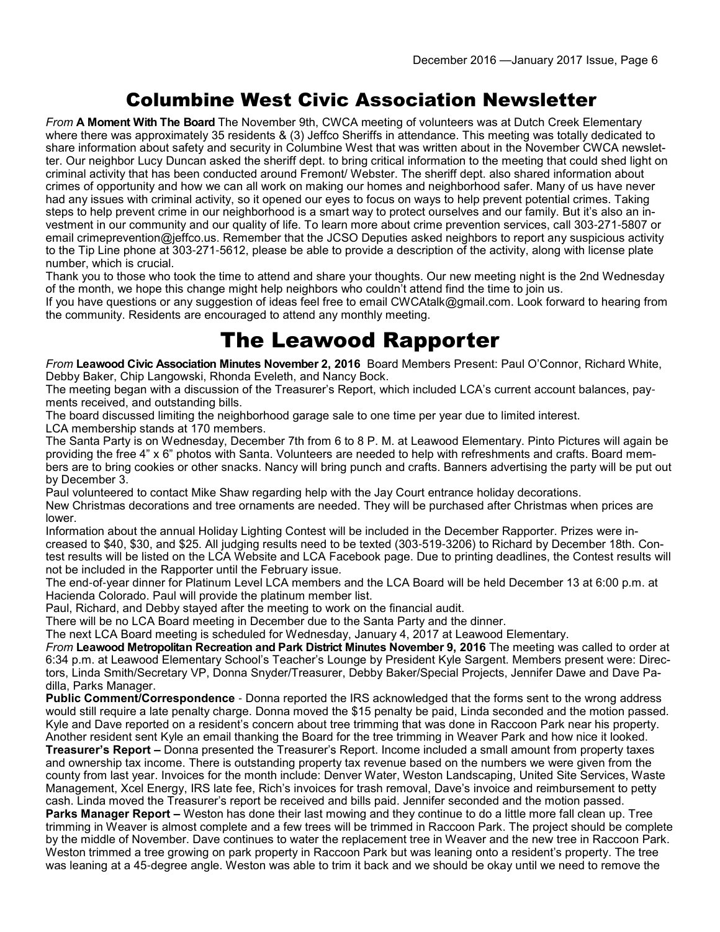#### Columbine West Civic Association Newsletter

*From* **A Moment With The Board** The November 9th, CWCA meeting of volunteers was at Dutch Creek Elementary where there was approximately 35 residents & (3) Jeffco Sheriffs in attendance. This meeting was totally dedicated to share information about safety and security in Columbine West that was written about in the November CWCA newsletter. Our neighbor Lucy Duncan asked the sheriff dept. to bring critical information to the meeting that could shed light on criminal activity that has been conducted around Fremont/ Webster. The sheriff dept. also shared information about crimes of opportunity and how we can all work on making our homes and neighborhood safer. Many of us have never had any issues with criminal activity, so it opened our eyes to focus on ways to help prevent potential crimes. Taking steps to help prevent crime in our neighborhood is a smart way to protect ourselves and our family. But it's also an investment in our community and our quality of life. To learn more about crime prevention services, call 303-271-5807 or email crimeprevention@jeffco.us. Remember that the JCSO Deputies asked neighbors to report any suspicious activity to the Tip Line phone at 303-271-5612, please be able to provide a description of the activity, along with license plate number, which is crucial.

Thank you to those who took the time to attend and share your thoughts. Our new meeting night is the 2nd Wednesday of the month, we hope this change might help neighbors who couldn't attend find the time to join us.

If you have questions or any suggestion of ideas feel free to email CWCAtalk@gmail.com. Look forward to hearing from the community. Residents are encouraged to attend any monthly meeting.

#### The Leawood Rapporter

*From* **Leawood Civic Association Minutes November 2, 2016** Board Members Present: Paul O'Connor, Richard White, Debby Baker, Chip Langowski, Rhonda Eveleth, and Nancy Bock.

The meeting began with a discussion of the Treasurer's Report, which included LCA's current account balances, payments received, and outstanding bills.

The board discussed limiting the neighborhood garage sale to one time per year due to limited interest. LCA membership stands at 170 members.

The Santa Party is on Wednesday, December 7th from 6 to 8 P. M. at Leawood Elementary. Pinto Pictures will again be providing the free 4" x 6" photos with Santa. Volunteers are needed to help with refreshments and crafts. Board members are to bring cookies or other snacks. Nancy will bring punch and crafts. Banners advertising the party will be put out by December 3.

Paul volunteered to contact Mike Shaw regarding help with the Jay Court entrance holiday decorations. New Christmas decorations and tree ornaments are needed. They will be purchased after Christmas when prices are lower.

Information about the annual Holiday Lighting Contest will be included in the December Rapporter. Prizes were increased to \$40, \$30, and \$25. All judging results need to be texted (303-519-3206) to Richard by December 18th. Contest results will be listed on the LCA Website and LCA Facebook page. Due to printing deadlines, the Contest results will not be included in the Rapporter until the February issue.

The end-of-year dinner for Platinum Level LCA members and the LCA Board will be held December 13 at 6:00 p.m. at Hacienda Colorado. Paul will provide the platinum member list.

Paul, Richard, and Debby stayed after the meeting to work on the financial audit.

There will be no LCA Board meeting in December due to the Santa Party and the dinner.

The next LCA Board meeting is scheduled for Wednesday, January 4, 2017 at Leawood Elementary.

*From* **Leawood Metropolitan Recreation and Park District Minutes November 9, 2016** The meeting was called to order at 6:34 p.m. at Leawood Elementary School's Teacher's Lounge by President Kyle Sargent. Members present were: Directors, Linda Smith/Secretary VP, Donna Snyder/Treasurer, Debby Baker/Special Projects, Jennifer Dawe and Dave Padilla, Parks Manager.

**Public Comment/Correspondence** - Donna reported the IRS acknowledged that the forms sent to the wrong address would still require a late penalty charge. Donna moved the \$15 penalty be paid, Linda seconded and the motion passed. Kyle and Dave reported on a resident's concern about tree trimming that was done in Raccoon Park near his property. Another resident sent Kyle an email thanking the Board for the tree trimming in Weaver Park and how nice it looked. **Treasurer's Report –** Donna presented the Treasurer's Report. Income included a small amount from property taxes

and ownership tax income. There is outstanding property tax revenue based on the numbers we were given from the county from last year. Invoices for the month include: Denver Water, Weston Landscaping, United Site Services, Waste Management, Xcel Energy, IRS late fee, Rich's invoices for trash removal, Dave's invoice and reimbursement to petty cash. Linda moved the Treasurer's report be received and bills paid. Jennifer seconded and the motion passed.

**Parks Manager Report –** Weston has done their last mowing and they continue to do a little more fall clean up. Tree trimming in Weaver is almost complete and a few trees will be trimmed in Raccoon Park. The project should be complete by the middle of November. Dave continues to water the replacement tree in Weaver and the new tree in Raccoon Park. Weston trimmed a tree growing on park property in Raccoon Park but was leaning onto a resident's property. The tree was leaning at a 45-degree angle. Weston was able to trim it back and we should be okay until we need to remove the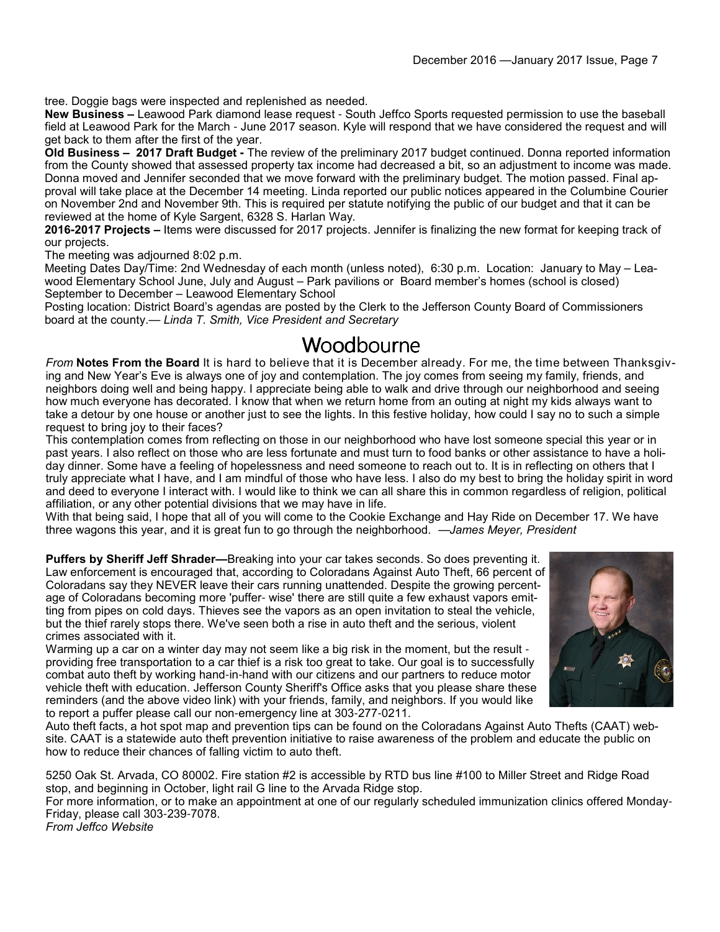tree. Doggie bags were inspected and replenished as needed.

**New Business –** Leawood Park diamond lease request - South Jeffco Sports requested permission to use the baseball field at Leawood Park for the March - June 2017 season. Kyle will respond that we have considered the request and will get back to them after the first of the year.

**Old Business – 2017 Draft Budget -** The review of the preliminary 2017 budget continued. Donna reported information from the County showed that assessed property tax income had decreased a bit, so an adjustment to income was made. Donna moved and Jennifer seconded that we move forward with the preliminary budget. The motion passed. Final approval will take place at the December 14 meeting. Linda reported our public notices appeared in the Columbine Courier on November 2nd and November 9th. This is required per statute notifying the public of our budget and that it can be reviewed at the home of Kyle Sargent, 6328 S. Harlan Way.

**2016-2017 Projects –** Items were discussed for 2017 projects. Jennifer is finalizing the new format for keeping track of our projects.

The meeting was adjourned 8:02 p.m.

Meeting Dates Day/Time: 2nd Wednesday of each month (unless noted), 6:30 p.m. Location: January to May – Leawood Elementary School June, July and August – Park pavilions or Board member's homes (school is closed) September to December – Leawood Elementary School

Posting location: District Board's agendas are posted by the Clerk to the Jefferson County Board of Commissioners board at the county.— *Linda T. Smith, Vice President and Secretary*

#### Woodbourne

*From* **Notes From the Board** It is hard to believe that it is December already. For me, the time between Thanksgiving and New Year's Eve is always one of joy and contemplation. The joy comes from seeing my family, friends, and neighbors doing well and being happy. I appreciate being able to walk and drive through our neighborhood and seeing how much everyone has decorated. I know that when we return home from an outing at night my kids always want to take a detour by one house or another just to see the lights. In this festive holiday, how could I say no to such a simple request to bring joy to their faces?

This contemplation comes from reflecting on those in our neighborhood who have lost someone special this year or in past years. I also reflect on those who are less fortunate and must turn to food banks or other assistance to have a holiday dinner. Some have a feeling of hopelessness and need someone to reach out to. It is in reflecting on others that I truly appreciate what I have, and I am mindful of those who have less. I also do my best to bring the holiday spirit in word and deed to everyone I interact with. I would like to think we can all share this in common regardless of religion, political affiliation, or any other potential divisions that we may have in life.

With that being said, I hope that all of you will come to the Cookie Exchange and Hay Ride on December 17. We have three wagons this year, and it is great fun to go through the neighborhood. —*James Meyer, President*

**Puffers by Sheriff Jeff Shrader—**Breaking into your car takes seconds. So does preventing it. Law enforcement is encouraged that, according to Coloradans Against Auto Theft, 66 percent of Coloradans say they NEVER leave their cars running unattended. Despite the growing percentage of Coloradans becoming more 'puffer- wise' there are still quite a few exhaust vapors emitting from pipes on cold days. Thieves see the vapors as an open invitation to steal the vehicle, but the thief rarely stops there. We've seen both a rise in auto theft and the serious, violent crimes associated with it.

Warming up a car on a winter day may not seem like a big risk in the moment, but the result providing free transportation to a car thief is a risk too great to take. Our goal is to successfully combat auto theft by working hand-in-hand with our citizens and our partners to reduce motor vehicle theft with education. Jefferson County Sheriff's Office asks that you please share these reminders (and the above video link) with your friends, family, and neighbors. If you would like to report a puffer please call our non-emergency line at 303-277-0211.



Auto theft facts, a hot spot map and prevention tips can be found on the Coloradans Against Auto Thefts (CAAT) website. CAAT is a statewide auto theft prevention initiative to raise awareness of the problem and educate the public on how to reduce their chances of falling victim to auto theft.

5250 Oak St. Arvada, CO 80002. Fire station #2 is accessible by RTD bus line #100 to Miller Street and Ridge Road stop, and beginning in October, light rail G line to the Arvada Ridge stop. For more information, or to make an appointment at one of our regularly scheduled immunization clinics offered Monday-

Friday, please call 303-239-7078. *From Jeffco Website*